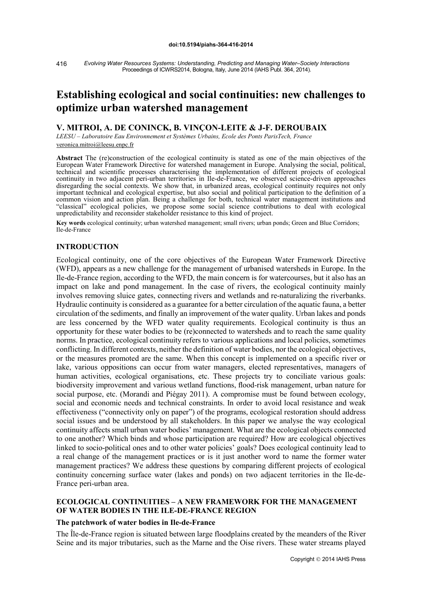*Evolving Water Resources Systems: Understanding, Predicting and Managing Water–Society Interactions* Proceedings of ICWRS2014, Bologna, Italy, June 2014 (IAHS Publ. 364, 2014). 416

# **Establishing ecological and social continuities: new challenges to optimize urban watershed management**

## **V. MITROI, A. DE CONINCK, B. VINÇON-LEITE & J-F. DEROUBAIX**

*LEESU – Laboratoire Eau Environnement et Systèmes Urbains, Ecole des Ponts ParisTech, France* [veronica.mitroi@leesu.enpc.fr](mailto:veronica.mitroi@leesu.enpc.fr)

**Abstract** The (re)construction of the ecological continuity is stated as one of the main objectives of the European Water Framework Directive for watershed management in Europe. Analysing the social, political, technical and scientific processes characterising the implementation of different projects of ecological continuity in two adjacent peri-urban territories in Ile-de-France, we observed science-driven approaches disregarding the social contexts. We show that, in urbanized areas, ecological continuity requires not only important technical and ecological expertise, but also social and political participation to the definition of a common vision and action plan. Being a challenge for both, technical water management institutions and "classical" ecological policies, we propose some social science contributions to deal with ecological unpredictability and reconsider stakeholder resistance to this kind of project.

**Key words** ecological continuity; urban watershed management; small rivers; urban ponds; Green and Blue Corridors; Ile-de-France

## **INTRODUCTION**

Ecological continuity, one of the core objectives of the European Water Framework Directive (WFD), appears as a new challenge for the management of urbanised watersheds in Europe. In the Ile-de-France region, according to the WFD, the main concern is for watercourses, but it also has an impact on lake and pond management. In the case of rivers, the ecological continuity mainly involves removing sluice gates, connecting rivers and wetlands and re-naturalizing the riverbanks. Hydraulic continuity is considered as a guarantee for a better circulation of the aquatic fauna, a better circulation of the sediments, and finally an improvement of the water quality. Urban lakes and ponds are less concerned by the WFD water quality requirements. Ecological continuity is thus an opportunity for these water bodies to be (re)connected to watersheds and to reach the same quality norms. In practice, ecological continuity refers to various applications and local policies, sometimes conflicting. In different contexts, neither the definition of water bodies, nor the ecological objectives, or the measures promoted are the same. When this concept is implemented on a specific river or lake, various oppositions can occur from water managers, elected representatives, managers of human activities, ecological organisations, etc. These projects try to conciliate various goals: biodiversity improvement and various wetland functions, flood-risk management, urban nature for social purpose, etc. (Morandi and Piégay 2011). A compromise must be found between ecology, social and economic needs and technical constraints. In order to avoid local resistance and weak effectiveness ("connectivity only on paper") of the programs, ecological restoration should address social issues and be understood by all stakeholders. In this paper we analyse the way ecological continuity affects small urban water bodies' management. What are the ecological objects connected to one another? Which binds and whose participation are required? How are ecological objectives linked to socio-political ones and to other water policies' goals? Does ecological continuity lead to a real change of the management practices or is it just another word to name the former water management practices? We address these questions by comparing different projects of ecological continuity concerning surface water (lakes and ponds) on two adjacent territories in the Ile-de-France peri-urban area.

# **ECOLOGICAL CONTINUITIES – A NEW FRAMEWORK FOR THE MANAGEMENT OF WATER BODIES IN THE ILE-DE-FRANCE REGION**

## **The patchwork of water bodies in Ile-de-France**

The Île-de-France region is situated between large floodplains created by the meanders of the River Seine and its major tributaries, such as the Marne and the Oise rivers. These water streams played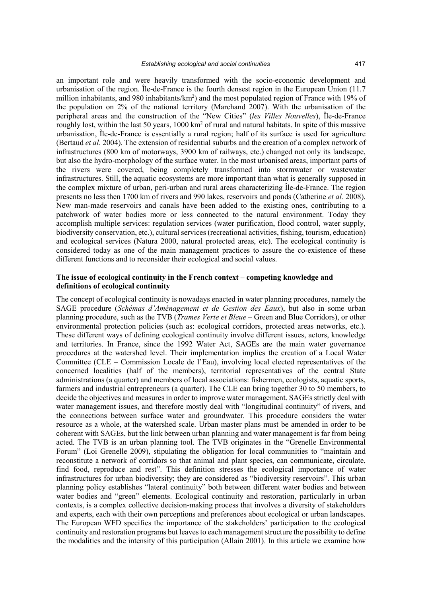an important role and were heavily transformed with the socio-economic development and urbanisation of the region. Île-de-France is the fourth densest region in the European Union (11.7 million inhabitants, and 980 inhabitants/km<sup>2</sup>) and the most populated region of France with 19% of the population on 2% of the national territory (Marchand 2007). With the urbanisation of the peripheral areas and the construction of the "New Cities" (*les Villes Nouvelles*), Île-de-France roughly lost, within the last 50 years, 1000 km<sup>2</sup> of rural and natural habitats. In spite of this massive urbanisation, Île-de-France is essentially a rural region; half of its surface is used for agriculture (Bertaud *et al*. 2004). The extension of residential suburbs and the creation of a complex network of infrastructures (800 km of motorways, 3900 km of railways, etc.) changed not only its landscape, but also the hydro-morphology of the surface water. In the most urbanised areas, important parts of the rivers were covered, being completely transformed into stormwater or wastewater infrastructures. Still, the aquatic ecosystems are more important than what is generally supposed in the complex mixture of urban, peri-urban and rural areas characterizing Île-de-France. The region presents no less then 1700 km of rivers and 990 lakes, reservoirs and ponds (Catherine *et al.* 2008). New man-made reservoirs and canals have been added to the existing ones, contributing to a patchwork of water bodies more or less connected to the natural environment. Today they accomplish multiple services: regulation services (water purification, flood control, water supply, biodiversity conservation, etc.), cultural services (recreational activities, fishing, tourism, education) and ecological services (Natura 2000, natural protected areas, etc). The ecological continuity is considered today as one of the main management practices to assure the co-existence of these different functions and to reconsider their ecological and social values.

## **The issue of ecological continuity in the French context – competing knowledge and definitions of ecological continuity**

The concept of ecological continuity is nowadays enacted in water planning procedures, namely the SAGE procedure (*Schémas d'Aménagement et de Gestion des Eaux*), but also in some urban planning procedure, such as the TVB (*Trames Verte et Bleue* – Green and Blue Corridors), or other environmental protection policies (such as: ecological corridors, protected areas networks, etc.). These different ways of defining ecological continuity involve different issues, actors, knowledge and territories. In France, since the 1992 Water Act, SAGEs are the main water governance procedures at the watershed level. Their implementation implies the creation of a Local Water Committee (CLE – Commission Locale de l'Eau), involving local elected representatives of the concerned localities (half of the members), territorial representatives of the central State administrations (a quarter) and members of local associations: fishermen, ecologists, aquatic sports, farmers and industrial entrepreneurs (a quarter). The CLE can bring together 30 to 50 members, to decide the objectives and measures in order to improve water management. SAGEs strictly deal with water management issues, and therefore mostly deal with "longitudinal continuity" of rivers, and the connections between surface water and groundwater. This procedure considers the water resource as a whole, at the watershed scale. Urban master plans must be amended in order to be coherent with SAGEs, but the link between urban planning and water management is far from being acted. The TVB is an urban planning tool. The TVB originates in the "Grenelle Environmental Forum" (Loi Grenelle 2009), stipulating the obligation for local communities to "maintain and reconstitute a network of corridors so that animal and plant species, can communicate, circulate, find food, reproduce and rest". This definition stresses the ecological importance of water infrastructures for urban biodiversity; they are considered as "biodiversity reservoirs". This urban planning policy establishes "lateral continuity" both between different water bodies and between water bodies and "green" elements. Ecological continuity and restoration, particularly in urban contexts, is a complex collective decision-making process that involves a diversity of stakeholders and experts, each with their own perceptions and preferences about ecological or urban landscapes. The European WFD specifies the importance of the stakeholders' participation to the ecological continuity and restoration programs but leaves to each management structure the possibility to define the modalities and the intensity of this participation (Allain 2001). In this article we examine how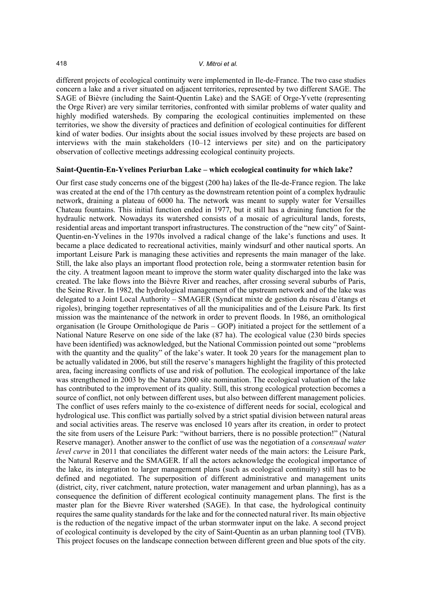different projects of ecological continuity were implemented in Ile-de-France. The two case studies concern a lake and a river situated on adjacent territories, represented by two different SAGE. The SAGE of Bièvre (including the Saint-Quentin Lake) and the SAGE of Orge-Yvette (representing the Orge River) are very similar territories, confronted with similar problems of water quality and highly modified watersheds. By comparing the ecological continuities implemented on these territories, we show the diversity of practices and definition of ecological continuities for different kind of water bodies. Our insights about the social issues involved by these projects are based on interviews with the main stakeholders (10–12 interviews per site) and on the participatory observation of collective meetings addressing ecological continuity projects.

## **Saint-Quentin-En-Yvelines Periurban Lake – which ecological continuity for which lake?**

Our first case study concerns one of the biggest (200 ha) lakes of the Ile-de-France region. The lake was created at the end of the 17th century as the downstream retention point of a complex hydraulic network, draining a plateau of 6000 ha. The network was meant to supply water for Versailles Chateau fountains. This initial function ended in 1977, but it still has a draining function for the hydraulic network. Nowadays its watershed consists of a mosaic of agricultural lands, forests, residential areas and important transport infrastructures. The construction of the "new city" of Saint-Quentin-en-Yvelines in the 1970s involved a radical change of the lake's functions and uses. It became a place dedicated to recreational activities, mainly windsurf and other nautical sports. An important Leisure Park is managing these activities and represents the main manager of the lake. Still, the lake also plays an important flood protection role, being a stormwater retention basin for the city. A treatment lagoon meant to improve the storm water quality discharged into the lake was created. The lake flows into the Bièvre River and reaches, after crossing several suburbs of Paris, the Seine River. In 1982, the hydrological management of the upstream network and of the lake was delegated to a Joint Local Authority – SMAGER (Syndicat mixte de gestion du réseau d'étangs et rigoles), bringing together representatives of all the municipalities and of the Leisure Park. Its first mission was the maintenance of the network in order to prevent floods. In 1986, an ornithological organisation (le Groupe Ornithologique de Paris – GOP) initiated a project for the settlement of a National Nature Reserve on one side of the lake (87 ha). The ecological value (230 birds species have been identified) was acknowledged, but the National Commission pointed out some "problems with the quantity and the quality" of the lake's water. It took 20 years for the management plan to be actually validated in 2006, but still the reserve's managers highlight the fragility of this protected area, facing increasing conflicts of use and risk of pollution. The ecological importance of the lake was strengthened in 2003 by the Natura 2000 site nomination. The ecological valuation of the lake has contributed to the improvement of its quality. Still, this strong ecological protection becomes a source of conflict, not only between different uses, but also between different management policies. The conflict of uses refers mainly to the co-existence of different needs for social, ecological and hydrological use. This conflict was partially solved by a strict spatial division between natural areas and social activities areas. The reserve was enclosed 10 years after its creation, in order to protect the site from users of the Leisure Park: "without barriers, there is no possible protection!" (Natural Reserve manager). Another answer to the conflict of use was the negotiation of a *consensual water level curve* in 2011 that conciliates the different water needs of the main actors: the Leisure Park, the Natural Reserve and the SMAGER. If all the actors acknowledge the ecological importance of the lake, its integration to larger management plans (such as ecological continuity) still has to be defined and negotiated. The superposition of different administrative and management units (district, city, river catchment, nature protection, water management and urban planning), has as a consequence the definition of different ecological continuity management plans. The first is the master plan for the Bievre River watershed (SAGE). In that case, the hydrological continuity requires the same quality standards for the lake and for the connected natural river. Its main objective is the reduction of the negative impact of the urban stormwater input on the lake. A second project of ecological continuity is developed by the city of Saint-Quentin as an urban planning tool (TVB). This project focuses on the landscape connection between different green and blue spots of the city.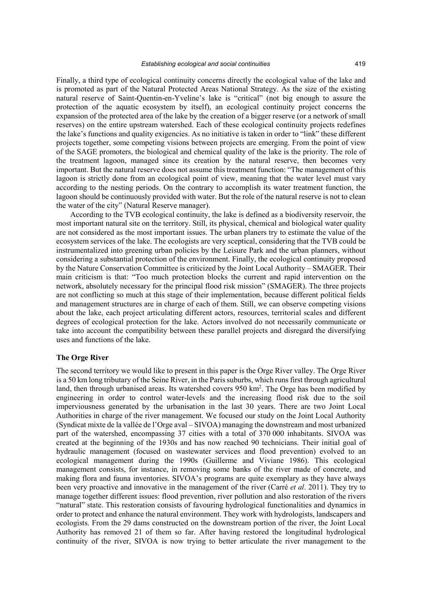Finally, a third type of ecological continuity concerns directly the ecological value of the lake and is promoted as part of the Natural Protected Areas National Strategy. As the size of the existing natural reserve of Saint-Quentin-en-Yveline's lake is "critical" (not big enough to assure the protection of the aquatic ecosystem by itself), an ecological continuity project concerns the expansion of the protected area of the lake by the creation of a bigger reserve (or a network of small reserves) on the entire upstream watershed. Each of these ecological continuity projects redefines the lake's functions and quality exigencies. As no initiative is taken in order to "link" these different projects together, some competing visions between projects are emerging. From the point of view of the SAGE promoters, the biological and chemical quality of the lake is the priority. The role of the treatment lagoon, managed since its creation by the natural reserve, then becomes very important. But the natural reserve does not assume this treatment function: "The management of this lagoon is strictly done from an ecological point of view, meaning that the water level must vary according to the nesting periods. On the contrary to accomplish its water treatment function, the lagoon should be continuously provided with water. But the role of the natural reserve is not to clean the water of the city" (Natural Reserve manager).

According to the TVB ecological continuity, the lake is defined as a biodiversity reservoir, the most important natural site on the territory. Still, its physical, chemical and biological water quality are not considered as the most important issues. The urban planers try to estimate the value of the ecosystem services of the lake. The ecologists are very sceptical, considering that the TVB could be instrumentalized into greening urban policies by the Leisure Park and the urban planners, without considering a substantial protection of the environment. Finally, the ecological continuity proposed by the Nature Conservation Committee is criticized by the Joint Local Authority – SMAGER. Their main criticism is that: "Too much protection blocks the current and rapid intervention on the network, absolutely necessary for the principal flood risk mission" (SMAGER). The three projects are not conflicting so much at this stage of their implementation, because different political fields and management structures are in charge of each of them. Still, we can observe competing visions about the lake, each project articulating different actors, resources, territorial scales and different degrees of ecological protection for the lake. Actors involved do not necessarily communicate or take into account the compatibility between these parallel projects and disregard the diversifying uses and functions of the lake.

#### **The Orge River**

The second territory we would like to present in this paper is the Orge River valley. The Orge River is a 50 km long tributary of the Seine River, in the Paris suburbs, which runs first through agricultural land, then through urbanised areas. Its watershed covers 950 km<sup>2</sup>. The Orge has been modified by engineering in order to control water-levels and the increasing flood risk due to the soil imperviousness generated by the urbanisation in the last 30 years. There are two Joint Local Authorities in charge of the river management. We focused our study on the Joint Local Authority (Syndicat mixte de la vallée de l'Orge aval – SIVOA) managing the downstream and most urbanized part of the watershed, encompassing 37 cities with a total of 370 000 inhabitants. SIVOA was created at the beginning of the 1930s and has now reached 90 technicians. Their initial goal of hydraulic management (focused on wastewater services and flood prevention) evolved to an ecological management during the 1990s (Guillerme and Viviane 1986). This ecological management consists, for instance, in removing some banks of the river made of concrete, and making flora and fauna inventories. SIVOA's programs are quite exemplary as they have always been very proactive and innovative in the management of the river (Carré *et al*. 2011). They try to manage together different issues: flood prevention, river pollution and also restoration of the rivers "natural" state. This restoration consists of favouring hydrological functionalities and dynamics in order to protect and enhance the natural environment. They work with hydrologists, landscapers and ecologists. From the 29 dams constructed on the downstream portion of the river, the Joint Local Authority has removed 21 of them so far. After having restored the longitudinal hydrological continuity of the river, SIVOA is now trying to better articulate the river management to the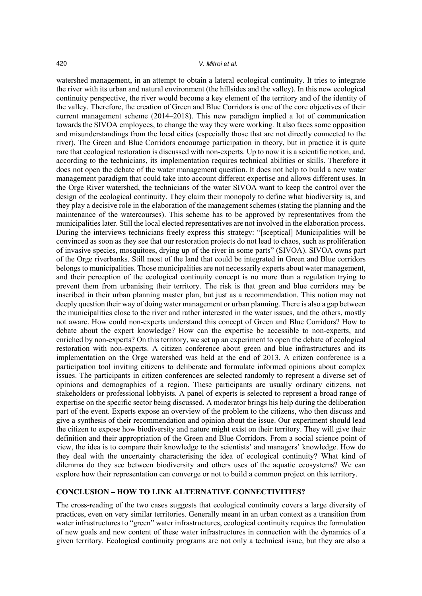#### 420 *V. Mitroi et al.*

watershed management, in an attempt to obtain a lateral ecological continuity. It tries to integrate the river with its urban and natural environment (the hillsides and the valley). In this new ecological continuity perspective, the river would become a key element of the territory and of the identity of the valley. Therefore, the creation of Green and Blue Corridors is one of the core objectives of their current management scheme (2014–2018). This new paradigm implied a lot of communication towards the SIVOA employees, to change the way they were working. It also faces some opposition and misunderstandings from the local cities (especially those that are not directly connected to the river). The Green and Blue Corridors encourage participation in theory, but in practice it is quite rare that ecological restoration is discussed with non-experts. Up to now it is a scientific notion, and, according to the technicians, its implementation requires technical abilities or skills. Therefore it does not open the debate of the water management question. It does not help to build a new water management paradigm that could take into account different expertise and allows different uses. In the Orge River watershed, the technicians of the water SIVOA want to keep the control over the design of the ecological continuity. They claim their monopoly to define what biodiversity is, and they play a decisive role in the elaboration of the management schemes (stating the planning and the maintenance of the watercourses). This scheme has to be approved by representatives from the municipalities later. Still the local elected representatives are not involved in the elaboration process. During the interviews technicians freely express this strategy: "[sceptical] Municipalities will be convinced as soon as they see that our restoration projects do not lead to chaos, such as proliferation of invasive species, mosquitoes, drying up of the river in some parts" (SIVOA). SIVOA owns part of the Orge riverbanks. Still most of the land that could be integrated in Green and Blue corridors belongs to municipalities. Those municipalities are not necessarily experts about water management, and their perception of the ecological continuity concept is no more than a regulation trying to prevent them from urbanising their territory. The risk is that green and blue corridors may be inscribed in their urban planning master plan, but just as a recommendation. This notion may not deeply question their way of doing water management or urban planning. There is also a gap between the municipalities close to the river and rather interested in the water issues, and the others, mostly not aware. How could non-experts understand this concept of Green and Blue Corridors? How to debate about the expert knowledge? How can the expertise be accessible to non-experts, and enriched by non-experts? On this territory, we set up an experiment to open the debate of ecological restoration with non-experts. A citizen conference about green and blue infrastructures and its implementation on the Orge watershed was held at the end of 2013. A citizen conference is a participation tool inviting citizens to deliberate and formulate informed opinions about complex issues. The participants in citizen conferences are selected randomly to represent a diverse set of opinions and demographics of a region. These participants are usually ordinary citizens, not stakeholders or professional lobbyists. A panel of experts is selected to represent a broad range of expertise on the specific sector being discussed. A moderator brings his help during the deliberation part of the event. Experts expose an overview of the problem to the citizens, who then discuss and give a synthesis of their recommendation and opinion about the issue. Our experiment should lead the citizen to expose how biodiversity and nature might exist on their territory. They will give their definition and their appropriation of the Green and Blue Corridors. From a social science point of view, the idea is to compare their knowledge to the scientists' and managers' knowledge. How do they deal with the uncertainty characterising the idea of ecological continuity? What kind of dilemma do they see between biodiversity and others uses of the aquatic ecosystems? We can explore how their representation can converge or not to build a common project on this territory.

# **CONCLUSION – HOW TO LINK ALTERNATIVE CONNECTIVITIES?**

The cross-reading of the two cases suggests that ecological continuity covers a large diversity of practices, even on very similar territories. Generally meant in an urban context as a transition from water infrastructures to "green" water infrastructures, ecological continuity requires the formulation of new goals and new content of these water infrastructures in connection with the dynamics of a given territory. Ecological continuity programs are not only a technical issue, but they are also a